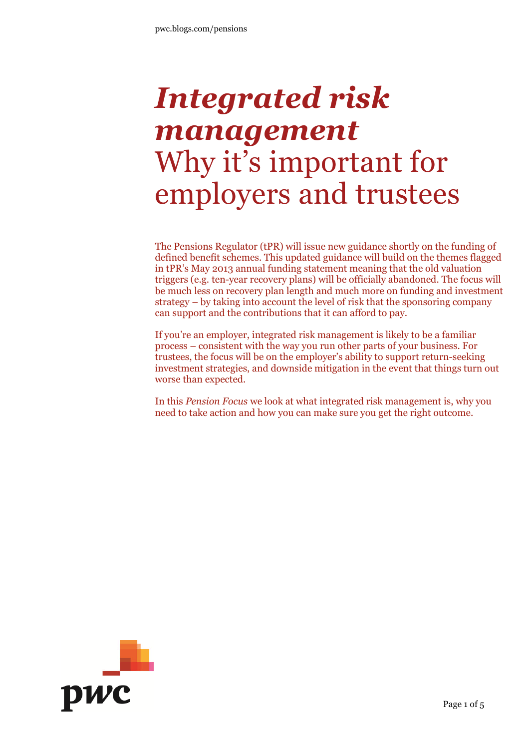# *Integrated risk management* Why it's important for employers and trustees

The Pensions Regulator (tPR) will issue new guidance shortly on the funding of defined benefit schemes. This updated guidance will build on the themes flagged in tPR's May 2013 annual funding statement meaning that the old valuation triggers (e.g. ten-year recovery plans) will be officially abandoned. The focus will be much less on recovery plan length and much more on funding and investment strategy – by taking into account the level of risk that the sponsoring company can support and the contributions that it can afford to pay.

If you're an employer, integrated risk management is likely to be a familiar process – consistent with the way you run other parts of your business. For trustees, the focus will be on the employer's ability to support return-seeking investment strategies, and downside mitigation in the event that things turn out worse than expected.

In this *Pension Focus* we look at what integrated risk management is, why you need to take action and how you can make sure you get the right outcome.

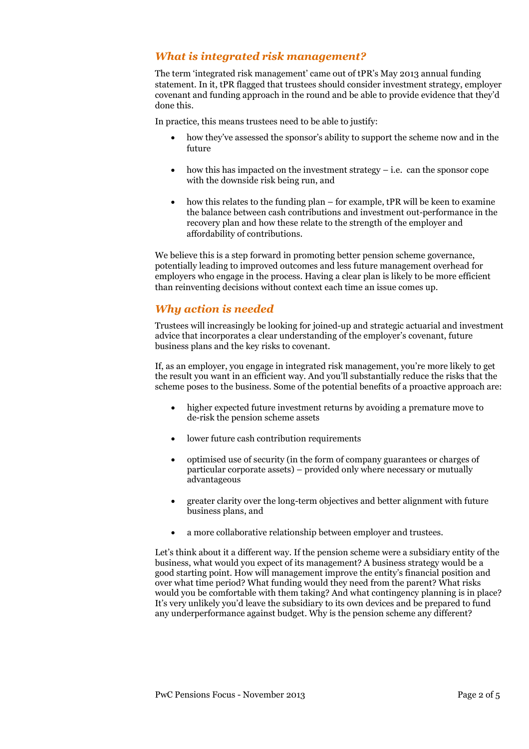## *What is integrated risk management?*

The term 'integrated risk management' came out of tPR's May 2013 annual funding statement. In it, tPR flagged that trustees should consider investment strategy, employer covenant and funding approach in the round and be able to provide evidence that they'd done this.

In practice, this means trustees need to be able to justify:

- how they've assessed the sponsor's ability to support the scheme now and in the future
- how this has impacted on the investment strategy i.e. can the sponsor cope with the downside risk being run, and
- $\bullet$  how this relates to the funding plan for example, tPR will be keen to examine the balance between cash contributions and investment out-performance in the recovery plan and how these relate to the strength of the employer and affordability of contributions.

We believe this is a step forward in promoting better pension scheme governance, potentially leading to improved outcomes and less future management overhead for employers who engage in the process. Having a clear plan is likely to be more efficient than reinventing decisions without context each time an issue comes up.

#### *Why action is needed*

Trustees will increasingly be looking for joined-up and strategic actuarial and investment advice that incorporates a clear understanding of the employer's covenant, future business plans and the key risks to covenant.

If, as an employer, you engage in integrated risk management, you're more likely to get the result you want in an efficient way. And you'll substantially reduce the risks that the scheme poses to the business. Some of the potential benefits of a proactive approach are:

- higher expected future investment returns by avoiding a premature move to de-risk the pension scheme assets
- lower future cash contribution requirements
- optimised use of security (in the form of company guarantees or charges of particular corporate assets) – provided only where necessary or mutually advantageous
- greater clarity over the long-term objectives and better alignment with future business plans, and
- a more collaborative relationship between employer and trustees.

Let's think about it a different way. If the pension scheme were a subsidiary entity of the business, what would you expect of its management? A business strategy would be a good starting point. How will management improve the entity's financial position and over what time period? What funding would they need from the parent? What risks would you be comfortable with them taking? And what contingency planning is in place? It's very unlikely you'd leave the subsidiary to its own devices and be prepared to fund any underperformance against budget. Why is the pension scheme any different?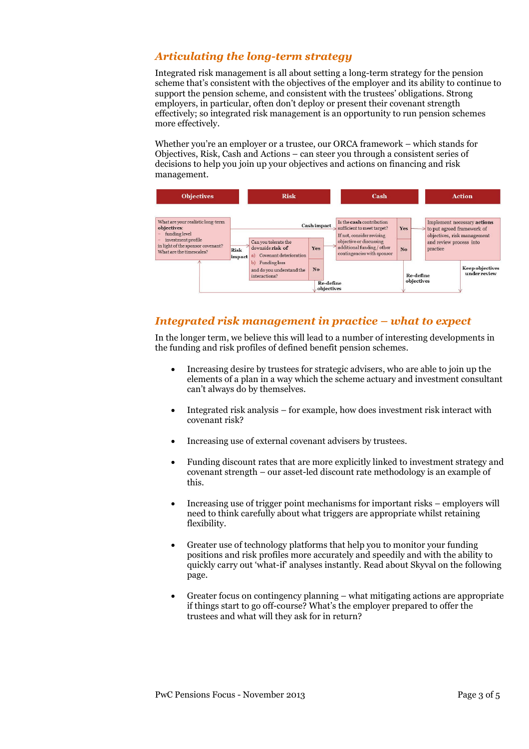## *Articulating the long-term strategy*

Integrated risk management is all about setting a long-term strategy for the pension scheme that's consistent with the objectives of the employer and its ability to continue to support the pension scheme, and consistent with the trustees' obligations. Strong employers, in particular, often don't deploy or present their covenant strength effectively; so integrated risk management is an opportunity to run pension schemes more effectively.

Whether you're an employer or a trustee, our ORCA framework – which stands for Objectives, Risk, Cash and Actions – can steer you through a consistent series of decisions to help you join up your objectives and actions on financing and risk management.



## *Integrated risk management in practice – what to expect*

In the longer term, we believe this will lead to a number of interesting developments in the funding and risk profiles of defined benefit pension schemes.

- Increasing desire by trustees for strategic advisers, who are able to join up the elements of a plan in a way which the scheme actuary and investment consultant can't always do by themselves.
- Integrated risk analysis for example, how does investment risk interact with covenant risk?
- Increasing use of external covenant advisers by trustees.
- Funding discount rates that are more explicitly linked to investment strategy and covenant strength – our asset-led discount rate methodology is an example of this.
- Increasing use of trigger point mechanisms for important risks employers will need to think carefully about what triggers are appropriate whilst retaining flexibility.
- Greater use of technology platforms that help you to monitor your funding positions and risk profiles more accurately and speedily and with the ability to quickly carry out 'what-if' analyses instantly. Read about Skyval on the following page.
- Greater focus on contingency planning what mitigating actions are appropriate if things start to go off-course? What's the employer prepared to offer the trustees and what will they ask for in return?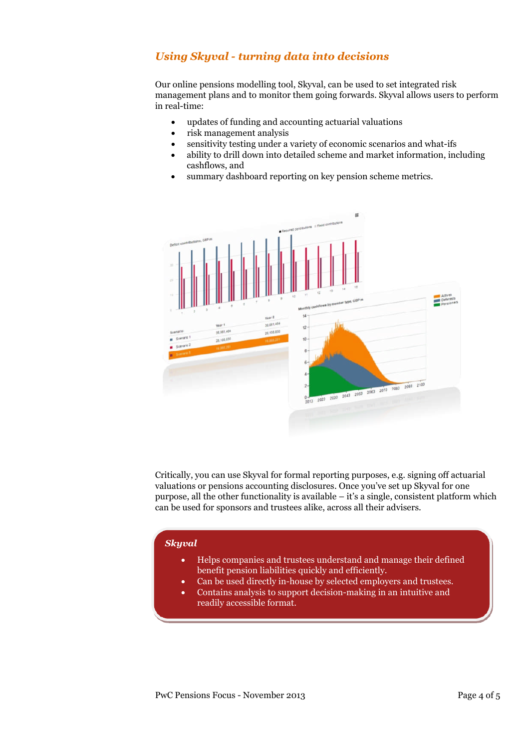# *Using Skyval - turning data into decisions*

Our online pensions modelling tool, Skyval, can be used to set integrated risk management plans and to monitor them going forwards. Skyval allows users to perform in real-time:

- updates of funding and accounting actuarial valuations
- risk management analysis
- sensitivity testing under a variety of economic scenarios and what-ifs
- ability to drill down into detailed scheme and market information, including cashflows, and
- summary dashboard reporting on key pension scheme metrics.



Critically, you can use Skyval for formal reporting purposes, e.g. signing off actuarial valuations or pensions accounting disclosures. Once you've set up Skyval for one purpose, all the other functionality is available  $-$  it's a single, consistent platform which can be used for sponsors and trustees alike, across all their advisers.

#### *Skyval*

- Helps companies and trustees understand and manage their defined benefit pension liabilities quickly and efficiently.
- Can be used directly in-house by selected employers and trustees.
- Contains analysis to support decision-making in an intuitive and readily accessible format.